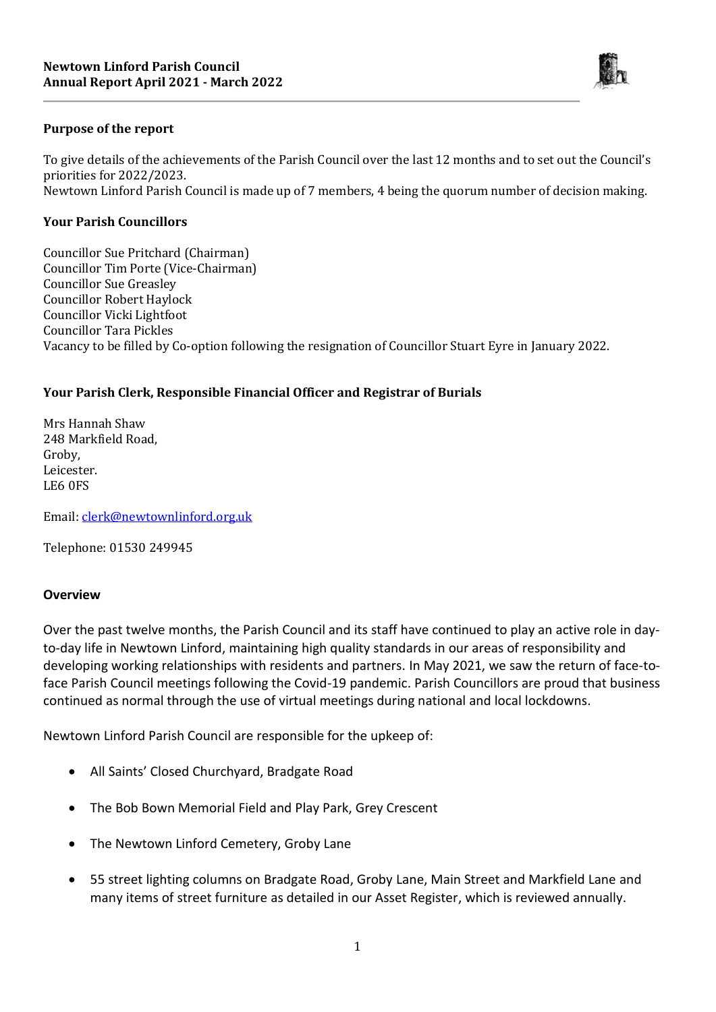

#### **Purpose of the report**

To give details of the achievements of the Parish Council over the last 12 months and to set out the Council's priorities for 2022/2023. Newtown Linford Parish Council is made up of 7 members, 4 being the quorum number of decision making.

#### **Your Parish Councillors**

Councillor Sue Pritchard (Chairman) Councillor Tim Porte (Vice-Chairman) Councillor Sue Greasley Councillor Robert Haylock Councillor Vicki Lightfoot Councillor Tara Pickles Vacancy to be filled by Co-option following the resignation of Councillor Stuart Eyre in January 2022.

#### **Your Parish Clerk, Responsible Financial Officer and Registrar of Burials**

Mrs Hannah Shaw 248 Markfield Road, Groby, Leicester. LE6 0FS

Email: [clerk@newtownlinford.org.uk](mailto:clerk@newtownlinford.org.uk)

Telephone: 01530 249945

#### **Overview**

Over the past twelve months, the Parish Council and its staff have continued to play an active role in dayto-day life in Newtown Linford, maintaining high quality standards in our areas of responsibility and developing working relationships with residents and partners. In May 2021, we saw the return of face-toface Parish Council meetings following the Covid-19 pandemic. Parish Councillors are proud that business continued as normal through the use of virtual meetings during national and local lockdowns.

Newtown Linford Parish Council are responsible for the upkeep of:

- All Saints' Closed Churchyard, Bradgate Road
- The Bob Bown Memorial Field and Play Park, Grey Crescent
- The Newtown Linford Cemetery, Groby Lane
- 55 street lighting columns on Bradgate Road, Groby Lane, Main Street and Markfield Lane and many items of street furniture as detailed in our Asset Register, which is reviewed annually.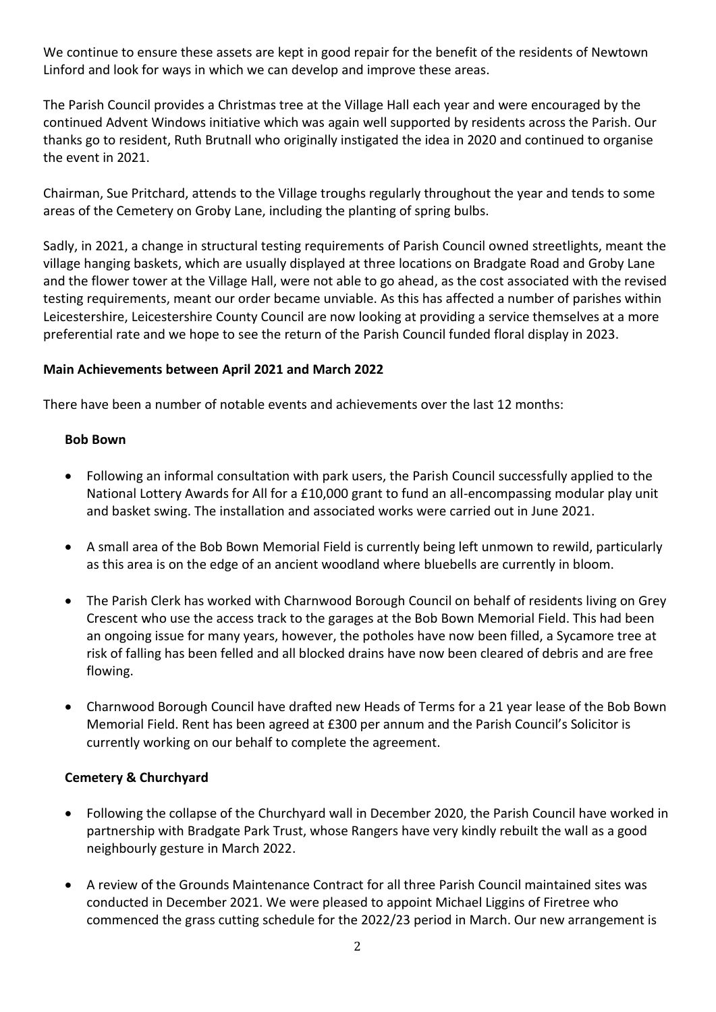We continue to ensure these assets are kept in good repair for the benefit of the residents of Newtown Linford and look for ways in which we can develop and improve these areas.

The Parish Council provides a Christmas tree at the Village Hall each year and were encouraged by the continued Advent Windows initiative which was again well supported by residents across the Parish. Our thanks go to resident, Ruth Brutnall who originally instigated the idea in 2020 and continued to organise the event in 2021.

Chairman, Sue Pritchard, attends to the Village troughs regularly throughout the year and tends to some areas of the Cemetery on Groby Lane, including the planting of spring bulbs.

Sadly, in 2021, a change in structural testing requirements of Parish Council owned streetlights, meant the village hanging baskets, which are usually displayed at three locations on Bradgate Road and Groby Lane and the flower tower at the Village Hall, were not able to go ahead, as the cost associated with the revised testing requirements, meant our order became unviable. As this has affected a number of parishes within Leicestershire, Leicestershire County Council are now looking at providing a service themselves at a more preferential rate and we hope to see the return of the Parish Council funded floral display in 2023.

### **Main Achievements between April 2021 and March 2022**

There have been a number of notable events and achievements over the last 12 months:

#### **Bob Bown**

- Following an informal consultation with park users, the Parish Council successfully applied to the National Lottery Awards for All for a £10,000 grant to fund an all-encompassing modular play unit and basket swing. The installation and associated works were carried out in June 2021.
- A small area of the Bob Bown Memorial Field is currently being left unmown to rewild, particularly as this area is on the edge of an ancient woodland where bluebells are currently in bloom.
- The Parish Clerk has worked with Charnwood Borough Council on behalf of residents living on Grey Crescent who use the access track to the garages at the Bob Bown Memorial Field. This had been an ongoing issue for many years, however, the potholes have now been filled, a Sycamore tree at risk of falling has been felled and all blocked drains have now been cleared of debris and are free flowing.
- Charnwood Borough Council have drafted new Heads of Terms for a 21 year lease of the Bob Bown Memorial Field. Rent has been agreed at £300 per annum and the Parish Council's Solicitor is currently working on our behalf to complete the agreement.

### **Cemetery & Churchyard**

- Following the collapse of the Churchyard wall in December 2020, the Parish Council have worked in partnership with Bradgate Park Trust, whose Rangers have very kindly rebuilt the wall as a good neighbourly gesture in March 2022.
- A review of the Grounds Maintenance Contract for all three Parish Council maintained sites was conducted in December 2021. We were pleased to appoint Michael Liggins of Firetree who commenced the grass cutting schedule for the 2022/23 period in March. Our new arrangement is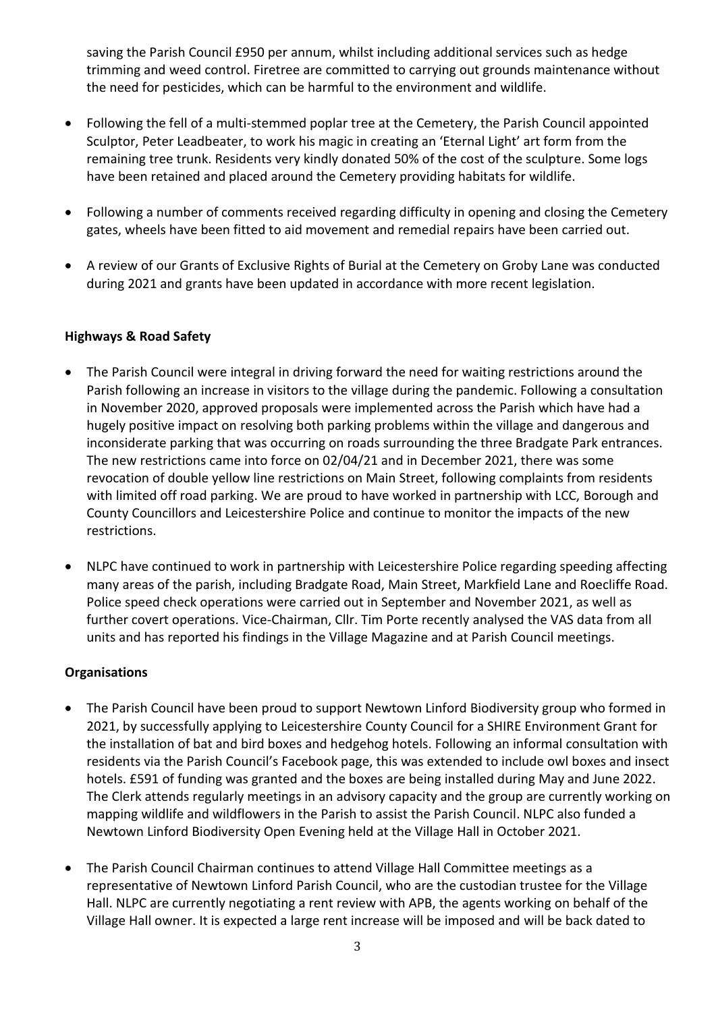saving the Parish Council £950 per annum, whilst including additional services such as hedge trimming and weed control. Firetree are committed to carrying out grounds maintenance without the need for pesticides, which can be harmful to the environment and wildlife.

- Following the fell of a multi-stemmed poplar tree at the Cemetery, the Parish Council appointed Sculptor, Peter Leadbeater, to work his magic in creating an 'Eternal Light' art form from the remaining tree trunk. Residents very kindly donated 50% of the cost of the sculpture. Some logs have been retained and placed around the Cemetery providing habitats for wildlife.
- Following a number of comments received regarding difficulty in opening and closing the Cemetery gates, wheels have been fitted to aid movement and remedial repairs have been carried out.
- A review of our Grants of Exclusive Rights of Burial at the Cemetery on Groby Lane was conducted during 2021 and grants have been updated in accordance with more recent legislation.

### **Highways & Road Safety**

- The Parish Council were integral in driving forward the need for waiting restrictions around the Parish following an increase in visitors to the village during the pandemic. Following a consultation in November 2020, approved proposals were implemented across the Parish which have had a hugely positive impact on resolving both parking problems within the village and dangerous and inconsiderate parking that was occurring on roads surrounding the three Bradgate Park entrances. The new restrictions came into force on 02/04/21 and in December 2021, there was some revocation of double yellow line restrictions on Main Street, following complaints from residents with limited off road parking. We are proud to have worked in partnership with LCC, Borough and County Councillors and Leicestershire Police and continue to monitor the impacts of the new restrictions.
- NLPC have continued to work in partnership with Leicestershire Police regarding speeding affecting many areas of the parish, including Bradgate Road, Main Street, Markfield Lane and Roecliffe Road. Police speed check operations were carried out in September and November 2021, as well as further covert operations. Vice-Chairman, Cllr. Tim Porte recently analysed the VAS data from all units and has reported his findings in the Village Magazine and at Parish Council meetings.

#### **Organisations**

- The Parish Council have been proud to support Newtown Linford Biodiversity group who formed in 2021, by successfully applying to Leicestershire County Council for a SHIRE Environment Grant for the installation of bat and bird boxes and hedgehog hotels. Following an informal consultation with residents via the Parish Council's Facebook page, this was extended to include owl boxes and insect hotels. £591 of funding was granted and the boxes are being installed during May and June 2022. The Clerk attends regularly meetings in an advisory capacity and the group are currently working on mapping wildlife and wildflowers in the Parish to assist the Parish Council. NLPC also funded a Newtown Linford Biodiversity Open Evening held at the Village Hall in October 2021.
- The Parish Council Chairman continues to attend Village Hall Committee meetings as a representative of Newtown Linford Parish Council, who are the custodian trustee for the Village Hall. NLPC are currently negotiating a rent review with APB, the agents working on behalf of the Village Hall owner. It is expected a large rent increase will be imposed and will be back dated to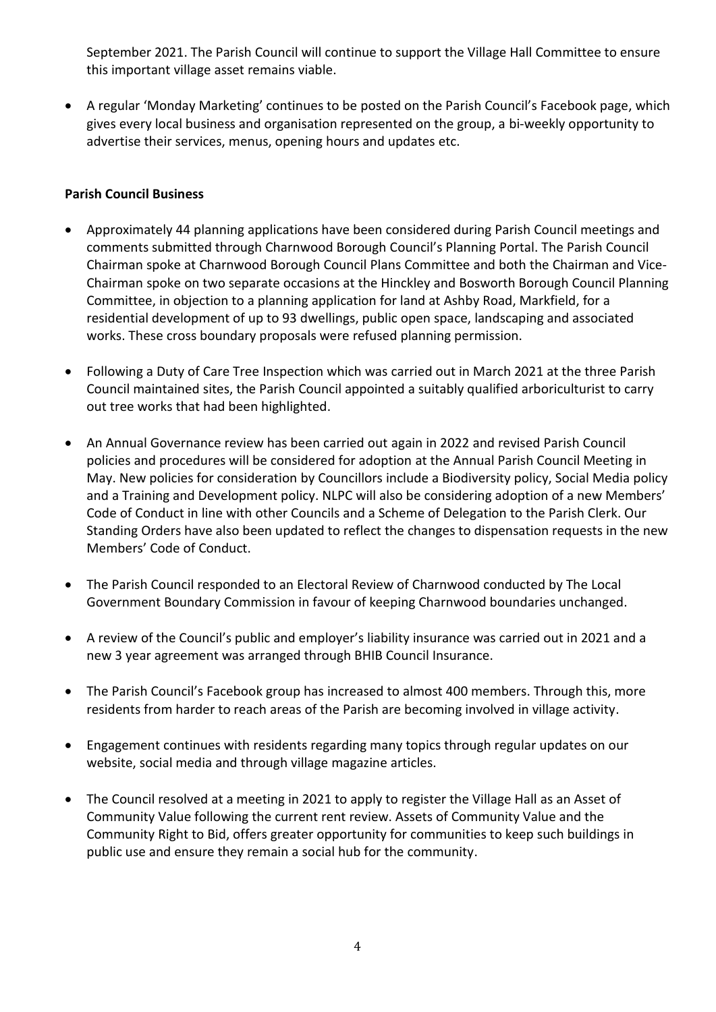September 2021. The Parish Council will continue to support the Village Hall Committee to ensure this important village asset remains viable.

 A regular 'Monday Marketing' continues to be posted on the Parish Council's Facebook page, which gives every local business and organisation represented on the group, a bi-weekly opportunity to advertise their services, menus, opening hours and updates etc.

## **Parish Council Business**

- Approximately 44 planning applications have been considered during Parish Council meetings and comments submitted through Charnwood Borough Council's Planning Portal. The Parish Council Chairman spoke at Charnwood Borough Council Plans Committee and both the Chairman and Vice-Chairman spoke on two separate occasions at the Hinckley and Bosworth Borough Council Planning Committee, in objection to a planning application for land at Ashby Road, Markfield, for a residential development of up to 93 dwellings, public open space, landscaping and associated works. These cross boundary proposals were refused planning permission.
- Following a Duty of Care Tree Inspection which was carried out in March 2021 at the three Parish Council maintained sites, the Parish Council appointed a suitably qualified arboriculturist to carry out tree works that had been highlighted.
- An Annual Governance review has been carried out again in 2022 and revised Parish Council policies and procedures will be considered for adoption at the Annual Parish Council Meeting in May. New policies for consideration by Councillors include a Biodiversity policy, Social Media policy and a Training and Development policy. NLPC will also be considering adoption of a new Members' Code of Conduct in line with other Councils and a Scheme of Delegation to the Parish Clerk. Our Standing Orders have also been updated to reflect the changes to dispensation requests in the new Members' Code of Conduct.
- The Parish Council responded to an Electoral Review of Charnwood conducted by The Local Government Boundary Commission in favour of keeping Charnwood boundaries unchanged.
- A review of the Council's public and employer's liability insurance was carried out in 2021 and a new 3 year agreement was arranged through BHIB Council Insurance.
- The Parish Council's Facebook group has increased to almost 400 members. Through this, more residents from harder to reach areas of the Parish are becoming involved in village activity.
- Engagement continues with residents regarding many topics through regular updates on our website, social media and through village magazine articles.
- The Council resolved at a meeting in 2021 to apply to register the Village Hall as an Asset of Community Value following the current rent review. Assets of Community Value and the Community Right to Bid, offers greater opportunity for communities to keep such buildings in public use and ensure they remain a social hub for the community.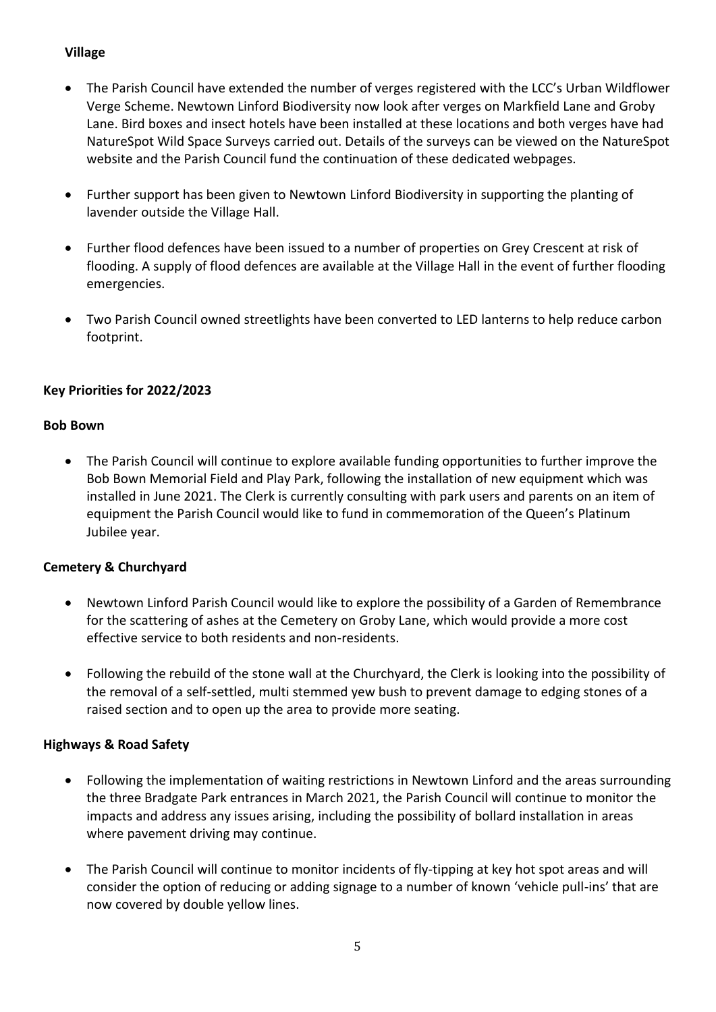## **Village**

- The Parish Council have extended the number of verges registered with the LCC's Urban Wildflower Verge Scheme. Newtown Linford Biodiversity now look after verges on Markfield Lane and Groby Lane. Bird boxes and insect hotels have been installed at these locations and both verges have had NatureSpot Wild Space Surveys carried out. Details of the surveys can be viewed on the NatureSpot website and the Parish Council fund the continuation of these dedicated webpages.
- Further support has been given to Newtown Linford Biodiversity in supporting the planting of lavender outside the Village Hall.
- Further flood defences have been issued to a number of properties on Grey Crescent at risk of flooding. A supply of flood defences are available at the Village Hall in the event of further flooding emergencies.
- Two Parish Council owned streetlights have been converted to LED lanterns to help reduce carbon footprint.

# **Key Priorities for 2022/2023**

### **Bob Bown**

 The Parish Council will continue to explore available funding opportunities to further improve the Bob Bown Memorial Field and Play Park, following the installation of new equipment which was installed in June 2021. The Clerk is currently consulting with park users and parents on an item of equipment the Parish Council would like to fund in commemoration of the Queen's Platinum Jubilee year.

# **Cemetery & Churchyard**

- Newtown Linford Parish Council would like to explore the possibility of a Garden of Remembrance for the scattering of ashes at the Cemetery on Groby Lane, which would provide a more cost effective service to both residents and non-residents.
- Following the rebuild of the stone wall at the Churchyard, the Clerk is looking into the possibility of the removal of a self-settled, multi stemmed yew bush to prevent damage to edging stones of a raised section and to open up the area to provide more seating.

### **Highways & Road Safety**

- Following the implementation of waiting restrictions in Newtown Linford and the areas surrounding the three Bradgate Park entrances in March 2021, the Parish Council will continue to monitor the impacts and address any issues arising, including the possibility of bollard installation in areas where pavement driving may continue.
- The Parish Council will continue to monitor incidents of fly-tipping at key hot spot areas and will consider the option of reducing or adding signage to a number of known 'vehicle pull-ins' that are now covered by double yellow lines.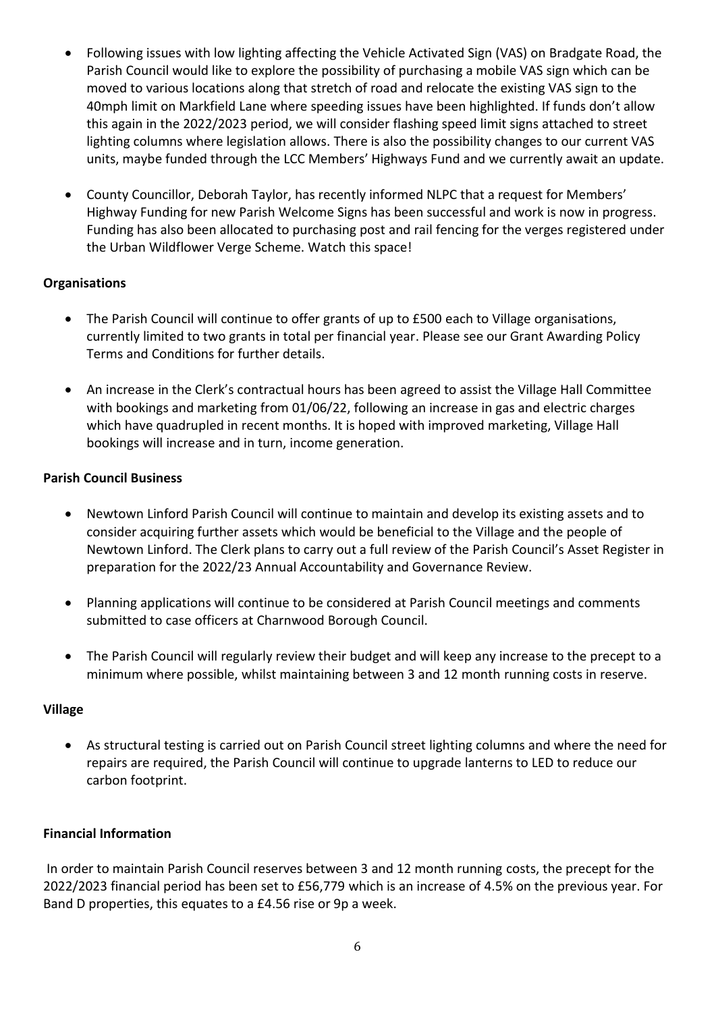- Following issues with low lighting affecting the Vehicle Activated Sign (VAS) on Bradgate Road, the Parish Council would like to explore the possibility of purchasing a mobile VAS sign which can be moved to various locations along that stretch of road and relocate the existing VAS sign to the 40mph limit on Markfield Lane where speeding issues have been highlighted. If funds don't allow this again in the 2022/2023 period, we will consider flashing speed limit signs attached to street lighting columns where legislation allows. There is also the possibility changes to our current VAS units, maybe funded through the LCC Members' Highways Fund and we currently await an update.
- County Councillor, Deborah Taylor, has recently informed NLPC that a request for Members' Highway Funding for new Parish Welcome Signs has been successful and work is now in progress. Funding has also been allocated to purchasing post and rail fencing for the verges registered under the Urban Wildflower Verge Scheme. Watch this space!

## **Organisations**

- The Parish Council will continue to offer grants of up to £500 each to Village organisations, currently limited to two grants in total per financial year. Please see our Grant Awarding Policy Terms and Conditions for further details.
- An increase in the Clerk's contractual hours has been agreed to assist the Village Hall Committee with bookings and marketing from 01/06/22, following an increase in gas and electric charges which have quadrupled in recent months. It is hoped with improved marketing, Village Hall bookings will increase and in turn, income generation.

### **Parish Council Business**

- Newtown Linford Parish Council will continue to maintain and develop its existing assets and to consider acquiring further assets which would be beneficial to the Village and the people of Newtown Linford. The Clerk plans to carry out a full review of the Parish Council's Asset Register in preparation for the 2022/23 Annual Accountability and Governance Review.
- Planning applications will continue to be considered at Parish Council meetings and comments submitted to case officers at Charnwood Borough Council.
- The Parish Council will regularly review their budget and will keep any increase to the precept to a minimum where possible, whilst maintaining between 3 and 12 month running costs in reserve.

### **Village**

 As structural testing is carried out on Parish Council street lighting columns and where the need for repairs are required, the Parish Council will continue to upgrade lanterns to LED to reduce our carbon footprint.

### **Financial Information**

In order to maintain Parish Council reserves between 3 and 12 month running costs, the precept for the 2022/2023 financial period has been set to £56,779 which is an increase of 4.5% on the previous year. For Band D properties, this equates to a £4.56 rise or 9p a week.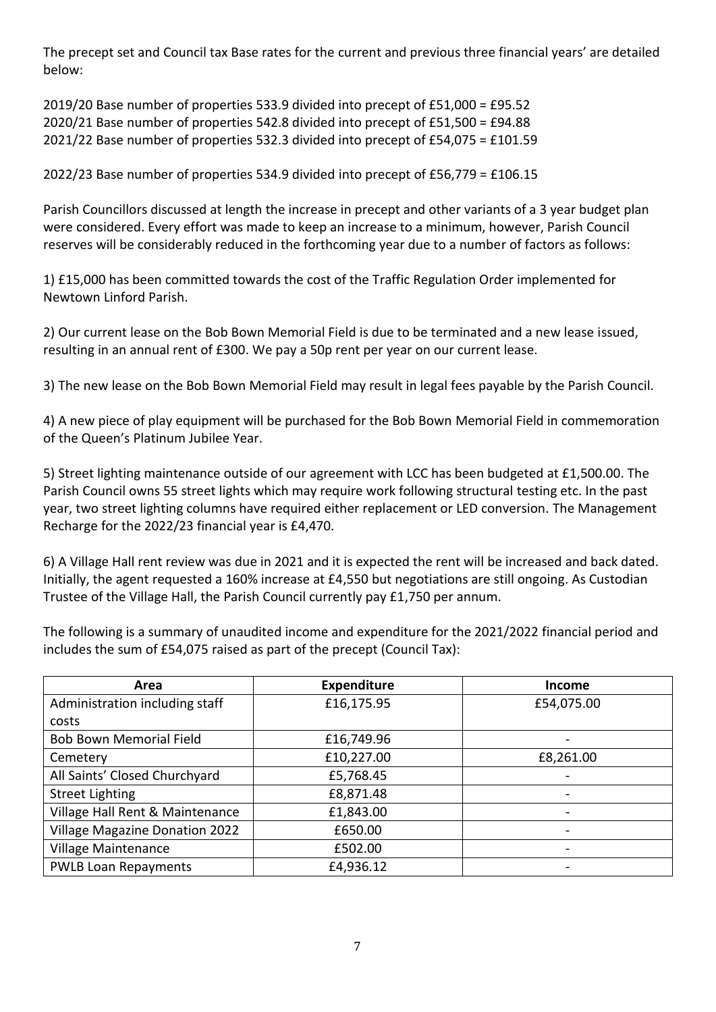The precept set and Council tax Base rates for the current and previous three financial years' are detailed below:

2019/20 Base number of properties 533.9 divided into precept of £51,000 = £95.52 2020/21 Base number of properties 542.8 divided into precept of £51,500 = £94.88 2021/22 Base number of properties 532.3 divided into precept of £54,075 = £101.59

2022/23 Base number of properties 534.9 divided into precept of £56,779 = £106.15

Parish Councillors discussed at length the increase in precept and other variants of a 3 year budget plan were considered. Every effort was made to keep an increase to a minimum, however, Parish Council reserves will be considerably reduced in the forthcoming year due to a number of factors as follows:

1) £15,000 has been committed towards the cost of the Traffic Regulation Order implemented for Newtown Linford Parish.

2) Our current lease on the Bob Bown Memorial Field is due to be terminated and a new lease issued, resulting in an annual rent of £300. We pay a 50p rent per year on our current lease.

3) The new lease on the Bob Bown Memorial Field may result in legal fees payable by the Parish Council.

4) A new piece of play equipment will be purchased for the Bob Bown Memorial Field in commemoration of the Queen's Platinum Jubilee Year.

5) Street lighting maintenance outside of our agreement with LCC has been budgeted at £1,500.00. The Parish Council owns 55 street lights which may require work following structural testing etc. In the past year, two street lighting columns have required either replacement or LED conversion. The Management Recharge for the 2022/23 financial year is £4,470.

6) A Village Hall rent review was due in 2021 and it is expected the rent will be increased and back dated. Initially, the agent requested a 160% increase at £4,550 but negotiations are still ongoing. As Custodian Trustee of the Village Hall, the Parish Council currently pay £1,750 per annum.

The following is a summary of unaudited income and expenditure for the 2021/2022 financial period and includes the sum of £54,075 raised as part of the precept (Council Tax):

| Area                                  | <b>Expenditure</b> | <b>Income</b>            |
|---------------------------------------|--------------------|--------------------------|
| Administration including staff        | £16,175.95         | £54,075.00               |
| costs                                 |                    |                          |
| <b>Bob Bown Memorial Field</b>        | £16,749.96         |                          |
| Cemetery                              | £10,227.00         | £8,261.00                |
| All Saints' Closed Churchyard         | £5,768.45          | $\overline{\phantom{a}}$ |
| <b>Street Lighting</b>                | £8,871.48          | $\overline{\phantom{a}}$ |
| Village Hall Rent & Maintenance       | £1,843.00          | $\overline{\phantom{a}}$ |
| <b>Village Magazine Donation 2022</b> | £650.00            | $\overline{\phantom{a}}$ |
| Village Maintenance                   | £502.00            |                          |
| <b>PWLB Loan Repayments</b>           | £4,936.12          |                          |